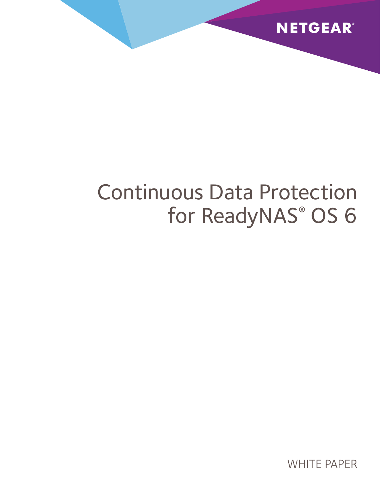

# Continuous Data Protection for ReadyNAS® OS 6

WHITE PAPER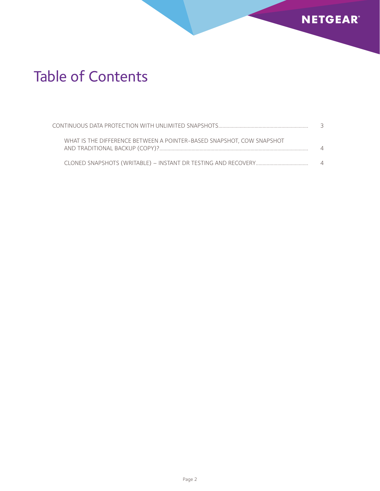

## Table of Contents

| WHAT IS THE DIFFERENCE BETWEEN A POINTER-BASED SNAPSHOT. COW SNAPSHOT |  |
|-----------------------------------------------------------------------|--|
|                                                                       |  |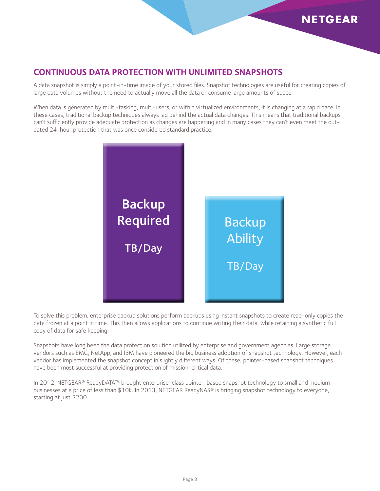### **NETGEAR**

#### <span id="page-2-0"></span>**Continuous Data Protection with Unlimited Snapshots**

A data snapshot is simply a point-in-time image of your stored files. Snapshot technologies are useful for creating copies of large data volumes without the need to actually move all the data or consume large amounts of space.

When data is generated by multi-tasking, multi-users, or within virtualized environments, it is changing at a rapid pace. In these cases, traditional backup techniques always lag behind the actual data changes. This means that traditional backups can't sufficiently provide adequate protection as changes are happening and in many cases they can't even meet the outdated 24-hour protection that was once considered standard practice.



To solve this problem, enterprise backup solutions perform backups using instant snapshots to create read-only copies the data frozen at a point in time. This then allows applications to continue writing their data, while retaining a synthetic full copy of data for safe keeping.

Snapshots have long been the data protection solution utilized by enterprise and government agencies. Large storage vendors such as EMC, NetApp, and IBM have pioneered the big business adoption of snapshot technology. However, each vendor has implemented the snapshot concept in slightly different ways. Of these, pointer-based snapshot techniques have been most successful at providing protection of mission-critical data.

In 2012, NETGEAR® ReadyDATA™ brought enterprise-class pointer-based snapshot technology to small and medium businesses at a price of less than \$10k. In 2013, NETGEAR ReadyNAS® is bringing snapshot technology to everyone, starting at just \$200.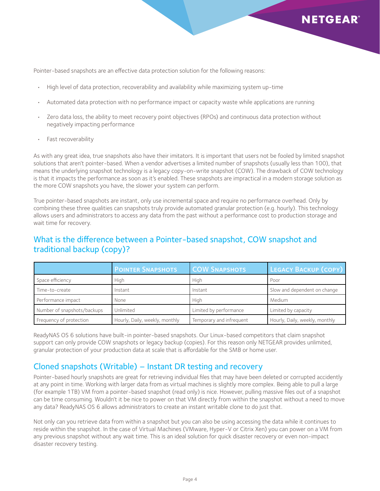Pointer-based snapshots are an effective data protection solution for the following reasons:

- High level of data protection, recoverability and availability while maximizing system up-time
- Automated data protection with no performance impact or capacity waste while applications are running
- Zero data loss, the ability to meet recovery point objectives (RPOs) and continuous data protection without negatively impacting performance
- Fast recoverability

As with any great idea, true snapshots also have their imitators. It is important that users not be fooled by limited snapshot solutions that aren't pointer-based. When a vendor advertises a limited number of snapshots (usually less than 100), that means the underlying snapshot technology is a legacy copy-on-write snapshot (COW). The drawback of COW technology is that it impacts the performance as soon as it's enabled. These snapshots are impractical in a modern storage solution as the more COW snapshots you have, the slower your system can perform.

True pointer-based snapshots are instant, only use incremental space and require no performance overhead. Only by combining these three qualities can snapshots truly provide automated granular protection (e.g. hourly). This technology allows users and administrators to access any data from the past without a performance cost to production storage and wait time for recovery.

#### <span id="page-3-0"></span>What is the difference between a Pointer-based snapshot, COW snapshot and traditional backup (copy)?

|                             | <b>POINTER SNAPSHOTS</b>       | <b>COW SNAPSHOTS</b>     | <b>LEGACY BACKUP (COPY)</b>    |
|-----------------------------|--------------------------------|--------------------------|--------------------------------|
| Space efficiency            | <b>High</b>                    | High                     | Poor                           |
| Time-to-create              | Instant                        | Instant                  | Slow and dependent on change   |
| Performance impact          | None                           | High                     | Medium                         |
| Number of snapshots/backups | Unlimited                      | Limited by performance   | Limited by capacity            |
| Frequency of protection     | Hourly, Daily, weekly, monthly | Temporary and infrequent | Hourly, Daily, weekly, monthly |

ReadyNAS OS 6 solutions have built-in pointer-based snapshots. Our Linux-based competitors that claim snapshot support can only provide COW snapshots or legacy backup (copies). For this reason only NETGEAR provides unlimited, granular protection of your production data at scale that is affordable for the SMB or home user.

#### <span id="page-3-1"></span>Cloned snapshots (Writable) – Instant DR testing and recovery

Pointer-based hourly snapshots are great for retrieving individual files that may have been deleted or corrupted accidently at any point in time. Working with larger data from as virtual machines is slightly more complex. Being able to pull a large (for example 1TB) VM from a pointer-based snapshot (read only) is nice. However, pulling massive files out of a snapshot can be time consuming. Wouldn't it be nice to power on that VM directly from within the snapshot without a need to move any data? ReadyNAS OS 6 allows administrators to create an instant writable clone to do just that.

Not only can you retrieve data from within a snapshot but you can also be using accessing the data while it continues to reside within the snapshot. In the case of Virtual Machines (VMware, Hyper-V or Citrix Xen) you can power on a VM from any previous snapshot without any wait time. This is an ideal solution for quick disaster recovery or even non-impact disaster recovery testing.